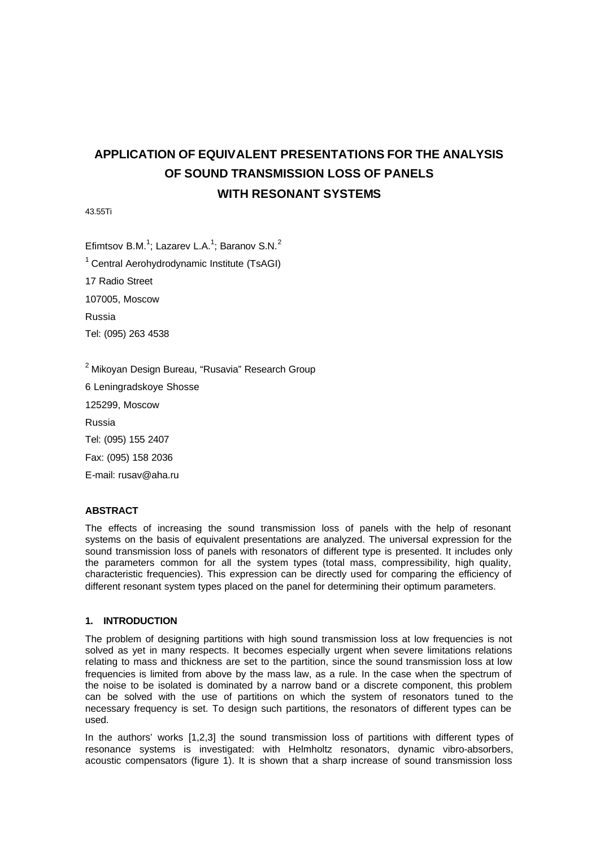# **APPLICATION OF EQUIVALENT PRESENTATIONS FOR THE ANALYSIS OF SOUND TRANSMISSION LOSS OF PANELS WITH RESONANT SYSTEMS**

43.55Ti

Efimtsov B.M.<sup>1</sup>; Lazarev L.A.<sup>1</sup>; Baranov S.N.<sup>2</sup>

 $1$  Central Aerohydrodynamic Institute (TsAGI)

17 Radio Street

107005, Moscow

Russia

Tel: (095) 263 4538

 $2$  Mikoyan Design Bureau, "Rusavia" Research Group

6 Leningradskoye Shosse

125299, Moscow

Russia

Tel: (095) 155 2407

Fax: (095) 158 2036

E-mail: rusav@aha.ru

## **ABSTRACT**

The effects of increasing the sound transmission loss of panels with the help of resonant systems on the basis of equivalent presentations are analyzed. The universal expression for the sound transmission loss of panels with resonators of different type is presented. It includes only the parameters common for all the system types (total mass, compressibility, high quality, characteristic frequencies). This expression can be directly used for comparing the efficiency of different resonant system types placed on the panel for determining their optimum parameters.

#### **1. INTRODUCTION**

The problem of designing partitions with high sound transmission loss at low frequencies is not solved as yet in many respects. It becomes especially urgent when severe limitations relations relating to mass and thickness are set to the partition, since the sound transmission loss at low frequencies is limited from above by the mass law, as a rule. In the case when the spectrum of the noise to be isolated is dominated by a narrow band or a discrete component, this problem can be solved with the use of partitions on which the system of resonators tuned to the necessary frequency is set. To design such partitions, the resonators of different types can be used.

In the authors' works [1,2,3] the sound transmission loss of partitions with different types of resonance systems is investigated: with Helmholtz resonators, dynamic vibro-absorbers, acoustic compensators (figure 1). It is shown that a sharp increase of sound transmission loss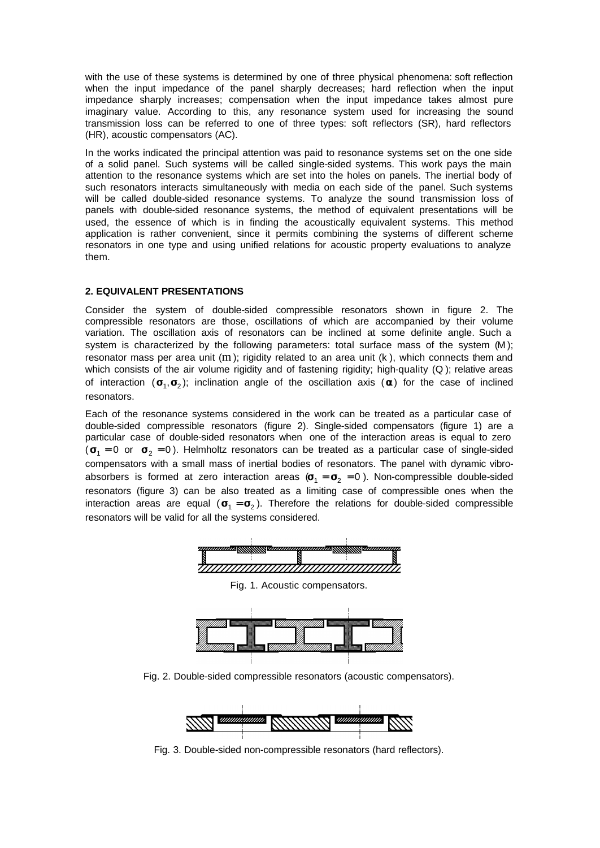with the use of these systems is determined by one of three physical phenomena: soft reflection when the input impedance of the panel sharply decreases; hard reflection when the input impedance sharply increases; compensation when the input impedance takes almost pure imaginary value. According to this, any resonance system used for increasing the sound transmission loss can be referred to one of three types: soft reflectors (SR), hard reflectors (HR), acoustic compensators (AC).

In the works indicated the principal attention was paid to resonance systems set on the one side of a solid panel. Such systems will be called single-sided systems. This work pays the main attention to the resonance systems which are set into the holes on panels. The inertial body of such resonators interacts simultaneously with media on each side of the panel. Such systems will be called double-sided resonance systems. To analyze the sound transmission loss of panels with double-sided resonance systems, the method of equivalent presentations will be used, the essence of which is in finding the acoustically equivalent systems. This method application is rather convenient, since it permits combining the systems of different scheme resonators in one type and using unified relations for acoustic property evaluations to analyze them.

# **2. EQUIVALENT PRESENTATIONS**

Consider the system of double-sided compressible resonators shown in figure 2. The compressible resonators are those, oscillations of which are accompanied by their volume variation. The oscillation axis of resonators can be inclined at some definite angle. Such a system is characterized by the following parameters: total surface mass of the system (M); resonator mass per area unit (m); rigidity related to an area unit (k), which connects them and which consists of the air volume rigidity and of fastening rigidity; high-quality (Q); relative areas of interaction ( $\mathbf{s}_1$ , $\mathbf{s}_2$ ); inclination angle of the oscillation axis ( $\mathbf{a}$ ) for the case of inclined resonators.

Each of the resonance systems considered in the work can be treated as a particular case of double-sided compressible resonators (figure 2). Single-sided compensators (figure 1) are a particular case of double-sided resonators when one of the interaction areas is equal to zero  $({\bf s}_1 = 0$  or  ${\bf s}_2 = 0$ ). Helmholtz resonators can be treated as a particular case of single-sided compensators with a small mass of inertial bodies of resonators. The panel with dynamic vibroabsorbers is formed at zero interaction areas  $(s_1 = s_2 = 0)$ . Non-compressible double-sided resonators (figure 3) can be also treated as a limiting case of compressible ones when the interaction areas are equal ( 1 2 **s = s** ). Therefore the relations for double-sided compressible resonators will be valid for all the systems considered.



Fig. 1. Acoustic compensators.



Fig. 2. Double-sided compressible resonators (acoustic compensators).



Fig. 3. Double-sided non-compressible resonators (hard reflectors).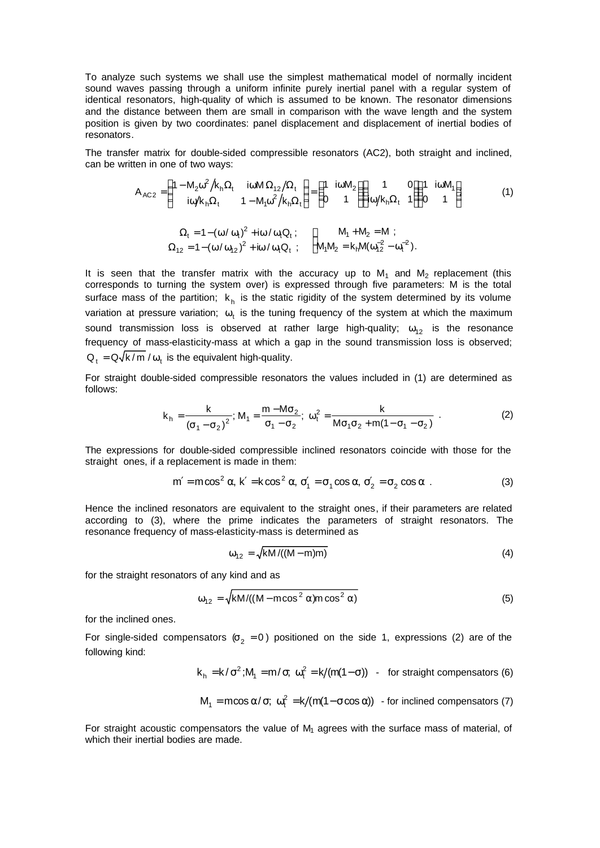To analyze such systems we shall use the simplest mathematical model of normally incident sound waves passing through a uniform infinite purely inertial panel with a regular system of identical resonators, high-quality of which is assumed to be known. The resonator dimensions and the distance between them are small in comparison with the wave length and the system position is given by two coordinates: panel displacement and displacement of inertial bodies of resonators.

The transfer matrix for double-sided compressible resonators (AC2), both straight and inclined, can be written in one of two ways:

$$
A_{AC2} = \begin{pmatrix} 1 - M_2 \omega^2 / k_h \Omega_t & i\omega M \Omega_{12} / \Omega_t \\ i\omega / k_h \Omega_t & 1 - M_1 \omega^2 / k_h \Omega_t \end{pmatrix} = \begin{pmatrix} 1 & i\omega M_2 \\ 0 & 1 \end{pmatrix} \begin{pmatrix} 1 & 0 \\ i\omega / k_h \Omega_t & 1 \end{pmatrix} \begin{pmatrix} 1 & i\omega M_1 \\ 0 & 1 \end{pmatrix}
$$
 (1)

$$
\Omega_t = 1 - (\omega / \omega_t)^2 + i\omega / \omega_t Q_t ; \qquad \begin{cases} M_1 + M_2 = M ; \\ \Omega_{12} = 1 - (\omega / \omega_{12})^2 + i\omega / \omega_t Q_t ; \end{cases}
$$

It is seen that the transfer matrix with the accuracy up to  $M_1$  and  $M_2$  replacement (this corresponds to turning the system over) is expressed through five parameters: M is the total surface mass of the partition;  $k<sub>h</sub>$  is the static rigidity of the system determined by its volume variation at pressure variation;  $\omega_{t}$  is the tuning frequency of the system at which the maximum sound transmission loss is observed at rather large high-quality;  $\omega_{12}$  is the resonance frequency of mass-elasticity-mass at which a gap in the sound transmission loss is observed;  $Q_t = Q \sqrt{k / m} / \omega_t$  is the equivalent high-quality.

For straight double-sided compressible resonators the values included in (1) are determined as follows:

$$
k_{h} = \frac{k}{(\sigma_{1} - \sigma_{2})^{2}}; M_{1} = \frac{m - M\sigma_{2}}{\sigma_{1} - \sigma_{2}}; \omega_{t}^{2} = \frac{k}{M\sigma_{1}\sigma_{2} + m(1 - \sigma_{1} - \sigma_{2})}.
$$
 (2)

The expressions for double-sided compressible inclined resonators coincide with those for the straight ones, if a replacement is made in them:

$$
m' = m\cos^2\alpha, k' = k\cos^2\alpha, \sigma'_1 = \sigma_1\cos\alpha, \sigma'_2 = \sigma_2\cos\alpha
$$
 (3)

Hence the inclined resonators are equivalent to the straight ones, if their parameters are related according to (3), where the prime indicates the parameters of straight resonators. The resonance frequency of mass-elasticity-mass is determined as

$$
\omega_{12} = \sqrt{kM/((M-m)m)}\tag{4}
$$

for the straight resonators of any kind and as

$$
\omega_{12} = \sqrt{\frac{\text{km}}{(\text{M} - \text{m}\cos^2\alpha)\text{m}\cos^2\alpha}}\tag{5}
$$

for the inclined ones.

For single-sided compensators ( $\sigma_2$  = 0) positioned on the side 1, expressions (2) are of the following kind:

$$
k_h = k/\sigma^2
$$
;  $M_1 = m/\sigma$ ;  $\omega_t^2 = k/(m(1-\sigma))$  - for straight compensators (6)

$$
M_1 = \text{mcos }\alpha/\sigma
$$
;  $\omega_t^2 = k/(\text{m}(1 - \sigma \cos \alpha))$  - for inclined compensators (7)

For straight acoustic compensators the value of  $M_1$  agrees with the surface mass of material, of which their inertial bodies are made.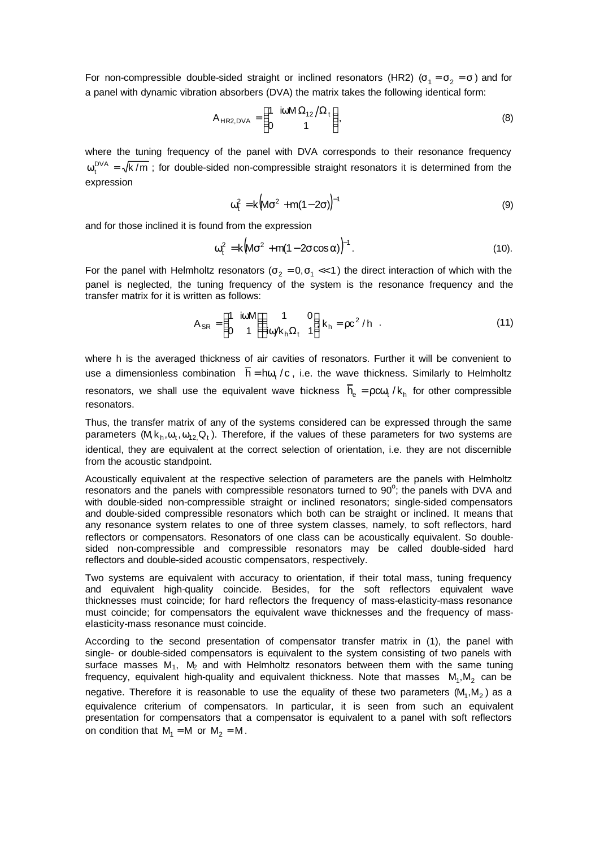For non-compressible double-sided straight or inclined resonators (HR2) (σ<sub>1</sub> =  $\sigma_2$  = σ) and for a panel with dynamic vibration absorbers (DVA) the matrix takes the following identical form:

$$
A_{HR2, DVA} = \begin{pmatrix} 1 & i\omega M \Omega_{12} / \Omega_t \\ 0 & 1 \end{pmatrix},
$$
 (8)

where the tuning frequency of the panel with DVA corresponds to their resonance frequency  $\omega_t^{DVA} = \sqrt{k/m}$ ; for double-sided non-compressible straight resonators it is determined from the expression

$$
\omega_{t}^{2} = k \big( M \sigma^{2} + m(1 - 2\sigma) \big)^{-1}
$$
 (9)

and for those inclined it is found from the expression

$$
\omega_{t}^{2} = k \big( M \sigma^{2} + m(1 - 2\sigma \cos \alpha) \big)^{-1}.
$$
 (10).

For the panel with Helmholtz resonators ( $\sigma_2 = 0, \sigma_1 \ll 1$ ) the direct interaction of which with the panel is neglected, the tuning frequency of the system is the resonance frequency and the transfer matrix for it is written as follows:

$$
A_{SR} = \begin{pmatrix} 1 & \text{ioM} \\ 0 & 1 \end{pmatrix} \begin{pmatrix} 1 & 0 \\ \text{io/k}_h \Omega_t & 1 \end{pmatrix} k_h = \rho c^2 / h \quad . \tag{11}
$$

where h is the averaged thickness of air cavities of resonators. Further it will be convenient to use a dimensionless combination  $\overline{h} = h \omega_t / c$ , i.e. the wave thickness. Similarly to Helmholtz resonators, we shall use the equivalent wave tickness  $\overline{h}_e = \rho c \omega_t / k_h$  for other compressible resonators.

Thus, the transfer matrix of any of the systems considered can be expressed through the same parameters ( $M$ ,  $k_h$ ,  $\omega_t$ ,  $\omega_{12}$ , Q<sub>t</sub>). Therefore, if the values of these parameters for two systems are identical, they are equivalent at the correct selection of orientation, i.e. they are not discernible from the acoustic standpoint.

Acoustically equivalent at the respective selection of parameters are the panels with Helmholtz resonators and the panels with compressible resonators turned to  $90^\circ$ ; the panels with DVA and with double-sided non-compressible straight or inclined resonators; single-sided compensators and double-sided compressible resonators which both can be straight or inclined. It means that any resonance system relates to one of three system classes, namely, to soft reflectors, hard reflectors or compensators. Resonators of one class can be acoustically equivalent. So doublesided non-compressible and compressible resonators may be called double-sided hard reflectors and double-sided acoustic compensators, respectively.

Two systems are equivalent with accuracy to orientation, if their total mass, tuning frequency and equivalent high-quality coincide. Besides, for the soft reflectors equivalent wave thicknesses must coincide; for hard reflectors the frequency of mass-elasticity-mass resonance must coincide; for compensators the equivalent wave thicknesses and the frequency of masselasticity-mass resonance must coincide.

According to the second presentation of compensator transfer matrix in (1), the panel with single- or double-sided compensators is equivalent to the system consisting of two panels with surface masses  $M_1$ ,  $M_2$  and with Helmholtz resonators between them with the same tuning frequency, equivalent high-quality and equivalent thickness. Note that masses  $M_1, M_2$  can be negative. Therefore it is reasonable to use the equality of these two parameters  $(M_1, M_2)$  as a equivalence criterium of compensators. In particular, it is seen from such an equivalent presentation for compensators that a compensator is equivalent to a panel with soft reflectors on condition that  $M_1 = M$  or  $M_2 = M$ .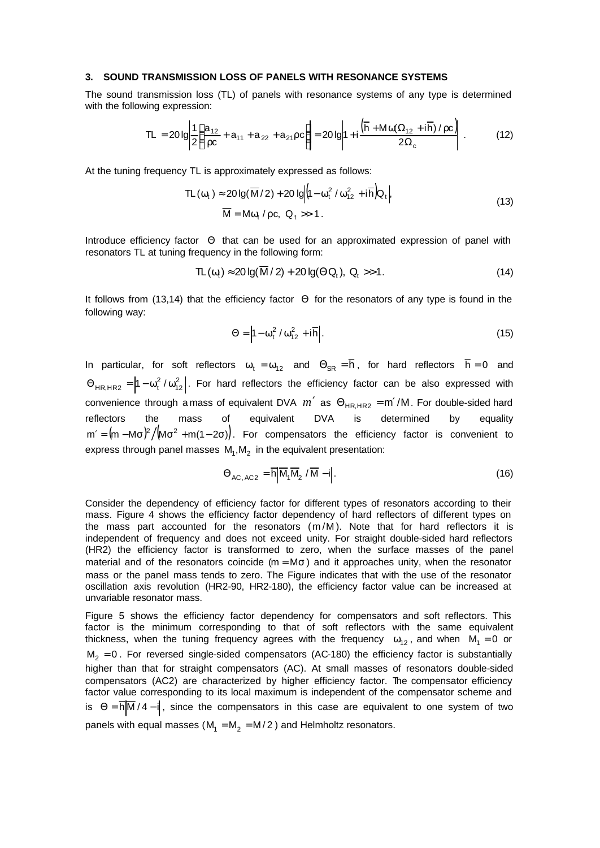#### **3. SOUND TRANSMISSION LOSS OF PANELS WITH RESONANCE SYSTEMS**

The sound transmission loss (TL) of panels with resonance systems of any type is determined with the following expression:

$$
TL = 20 \lg \left| \frac{1}{2} \left( \frac{a_{12}}{\rho c} + a_{11} + a_{22} + a_{21} \rho c \right) \right| = 20 \lg \left| 1 + i \frac{\left( \overline{h} + M \omega (\Omega_{12} + i \overline{h}) / \rho c \right)}{2 \Omega_c} \right| \,. \tag{12}
$$

At the tuning frequency TL is approximately expressed as follows:

$$
\begin{aligned} \nabla L(\omega_t) &\approx 20 \lg(\overline{M}/2) + 20 \lg \left| (1 - \omega_t^2 / \omega_{12}^2 + i \overline{h}) Q_t \right|, \\ \nabla \overline{M} &= M \omega_t / \rho c, \ Q_t &> 1. \n\end{aligned} \tag{13}
$$

Introduce efficiency factor Θ that can be used for an approximated expression of panel with resonators TL at tuning frequency in the following form:

$$
TL(\omega_t) \approx 20 \lg(\overline{M}/2) + 20 \lg(\Theta Q_t), \ Q_t \gg 1. \tag{14}
$$

It follows from (13,14) that the efficiency factor Θ for the resonators of any type is found in the following way:

$$
\Theta = \left| 1 - \omega_t^2 / \omega_{12}^2 + i \overline{h} \right|.
$$
 (15)

In particular, for soft reflectors  $\omega_t = \omega_{12}$  and  $\Theta_{SR} = \overline{h}$ , for hard reflectors  $\overline{h} = 0$  and  $\Theta_{HR,HR2} = |1 - \omega_t^2 / \omega_{12}^2|$ . For hard reflectors the efficiency factor can be also expressed with convenience through a mass of equivalent DVA  $m'$  as  $\Theta_{HRHR2} = m'/M$ . For double-sided hard reflectors the mass of equivalent DVA is determined by equality  $m' = (m - M\sigma)^2 / (M\sigma^2 + m(1 - 2\sigma))$ . For compensators the efficiency factor is convenient to express through panel masses  $M_1, M_2$  in the equivalent presentation:

$$
\Theta_{AC,AC2} = \overline{h} \left| \overline{M}_1 \overline{M}_2 / \overline{M} - i \right|.
$$
 (16)

Consider the dependency of efficiency factor for different types of resonators according to their mass. Figure 4 shows the efficiency factor dependency of hard reflectors of different types on the mass part accounted for the resonators  $(m/M)$ . Note that for hard reflectors it is independent of frequency and does not exceed unity. For straight double-sided hard reflectors (HR2) the efficiency factor is transformed to zero, when the surface masses of the panel material and of the resonators coincide ( $m = M\sigma$ ) and it approaches unity, when the resonator mass or the panel mass tends to zero. The Figure indicates that with the use of the resonator oscillation axis revolution (HR2-90, HR2-180), the efficiency factor value can be increased at unvariable resonator mass.

Figure 5 shows the efficiency factor dependency for compensators and soft reflectors. This factor is the minimum corresponding to that of soft reflectors with the same equivalent thickness, when the tuning frequency agrees with the frequency  $\omega_{12}$ , and when  $\mathsf{M_{1}} = 0$  or  $M_2 = 0$ . For reversed single-sided compensators (AC-180) the efficiency factor is substantially higher than that for straight compensators (AC). At small masses of resonators double-sided compensators (AC2) are characterized by higher efficiency factor. The compensator efficiency factor value corresponding to its local maximum is independent of the compensator scheme and is  $\Theta = \overline{h} \overline{M} / 4 - i$ , since the compensators in this case are equivalent to one system of two panels with equal masses (M<sub>1</sub> = M<sub>2</sub> = M/2) and Helmholtz resonators.